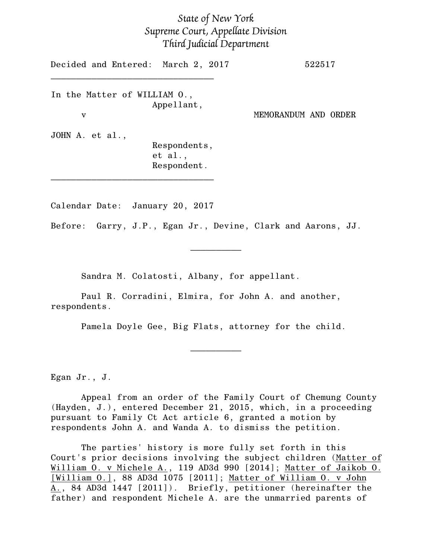## *State of New York Supreme Court, Appellate Division Third Judicial Department*

Decided and Entered: March 2, 2017 522517 \_\_\_\_\_\_\_\_\_\_\_\_\_\_\_\_\_\_\_\_\_\_\_\_\_\_\_\_\_\_\_\_ In the Matter of WILLIAM O., Appellant, v MEMORANDUM AND ORDER JOHN A. et al., Respondents, et al., Respondent.

Calendar Date: January 20, 2017

\_\_\_\_\_\_\_\_\_\_\_\_\_\_\_\_\_\_\_\_\_\_\_\_\_\_\_\_\_\_\_\_

Before: Garry, J.P., Egan Jr., Devine, Clark and Aarons, JJ.

 $\frac{1}{2}$ 

Sandra M. Colatosti, Albany, for appellant.

Paul R. Corradini, Elmira, for John A. and another, respondents.

Pamela Doyle Gee, Big Flats, attorney for the child.

 $\frac{1}{2}$ 

Egan Jr., J.

Appeal from an order of the Family Court of Chemung County (Hayden, J.), entered December 21, 2015, which, in a proceeding pursuant to Family Ct Act article 6, granted a motion by respondents John A. and Wanda A. to dismiss the petition.

The parties' history is more fully set forth in this Court's prior decisions involving the subject children (Matter of William O. v Michele A., 119 AD3d 990 [2014]; Matter of Jaikob O. [William O.], 88 AD3d 1075 [2011]; Matter of William O. v John A., 84 AD3d 1447 [2011]). Briefly, petitioner (hereinafter the father) and respondent Michele A. are the unmarried parents of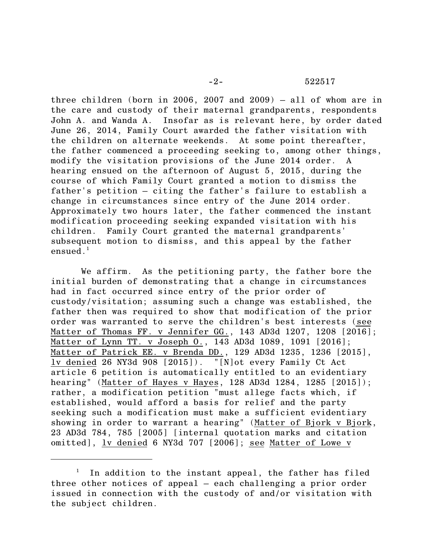## -2- 522517

three children (born in 2006, 2007 and 2009) – all of whom are in the care and custody of their maternal grandparents, respondents John A. and Wanda A. Insofar as is relevant here, by order dated June 26, 2014, Family Court awarded the father visitation with the children on alternate weekends. At some point thereafter, the father commenced a proceeding seeking to, among other things, modify the visitation provisions of the June 2014 order. A hearing ensued on the afternoon of August 5, 2015, during the course of which Family Court granted a motion to dismiss the father's petition – citing the father's failure to establish a change in circumstances since entry of the June 2014 order. Approximately two hours later, the father commenced the instant modification proceeding seeking expanded visitation with his children. Family Court granted the maternal grandparents' subsequent motion to dismiss, and this appeal by the father ensued. $<sup>1</sup>$ </sup>

We affirm. As the petitioning party, the father bore the initial burden of demonstrating that a change in circumstances had in fact occurred since entry of the prior order of custody/visitation; assuming such a change was established, the father then was required to show that modification of the prior order was warranted to serve the children's best interests (see Matter of Thomas FF. v Jennifer GG., 143 AD3d 1207, 1208 [2016]; Matter of Lynn TT. v Joseph O., 143 AD3d 1089, 1091 [2016]; Matter of Patrick EE. v Brenda DD., 129 AD3d 1235, 1236 [2015], lv denied 26 NY3d 908 [2015]). "[N]ot every Family Ct Act article 6 petition is automatically entitled to an evidentiary hearing" (Matter of Hayes v Hayes, 128 AD3d 1284, 1285 [2015]); rather, a modification petition "must allege facts which, if established, would afford a basis for relief and the party seeking such a modification must make a sufficient evidentiary showing in order to warrant a hearing" (Matter of Bjork v Bjork, 23 AD3d 784, 785 [2005] [internal quotation marks and citation omitted], lv denied 6 NY3d 707 [2006]; see Matter of Lowe v

 $1$  In addition to the instant appeal, the father has filed three other notices of appeal – each challenging a prior order issued in connection with the custody of and/or visitation with the subject children.